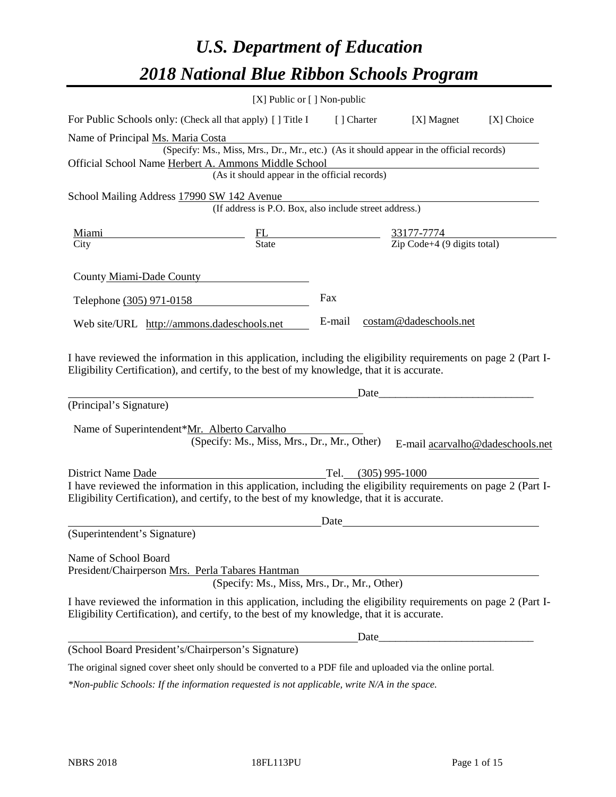# *U.S. Department of Education 2018 National Blue Ribbon Schools Program*

|                                                                                                                                                                                                              | $[X]$ Public or $[ ]$ Non-public                                                         |        |                                                                                                                              |                                  |
|--------------------------------------------------------------------------------------------------------------------------------------------------------------------------------------------------------------|------------------------------------------------------------------------------------------|--------|------------------------------------------------------------------------------------------------------------------------------|----------------------------------|
| For Public Schools only: (Check all that apply) [] Title I [] Charter [X] Magnet                                                                                                                             |                                                                                          |        |                                                                                                                              | [X] Choice                       |
| Name of Principal Ms. Maria Costa                                                                                                                                                                            |                                                                                          |        |                                                                                                                              |                                  |
|                                                                                                                                                                                                              | (Specify: Ms., Miss, Mrs., Dr., Mr., etc.) (As it should appear in the official records) |        |                                                                                                                              |                                  |
| Official School Name Herbert A. Ammons Middle School                                                                                                                                                         | (As it should appear in the official records)                                            |        |                                                                                                                              |                                  |
|                                                                                                                                                                                                              |                                                                                          |        |                                                                                                                              |                                  |
| School Mailing Address 17990 SW 142 Avenue                                                                                                                                                                   | (If address is P.O. Box, also include street address.)                                   |        |                                                                                                                              |                                  |
| <u>Miami</u>                                                                                                                                                                                                 |                                                                                          |        |                                                                                                                              |                                  |
| City                                                                                                                                                                                                         | $\frac{FL}{State}$ $\frac{33177-7774}{\text{Zip Code}+4 (9 digits total)}$               |        |                                                                                                                              |                                  |
|                                                                                                                                                                                                              |                                                                                          |        |                                                                                                                              |                                  |
| County Miami-Dade County                                                                                                                                                                                     |                                                                                          |        |                                                                                                                              |                                  |
| Telephone (305) 971-0158                                                                                                                                                                                     |                                                                                          | Fax    |                                                                                                                              |                                  |
|                                                                                                                                                                                                              |                                                                                          |        |                                                                                                                              |                                  |
| Web site/URL http://ammons.dadeschools.net                                                                                                                                                                   |                                                                                          | E-mail | costam@dadeschools.net                                                                                                       |                                  |
| I have reviewed the information in this application, including the eligibility requirements on page 2 (Part I-<br>Eligibility Certification), and certify, to the best of my knowledge, that it is accurate. |                                                                                          |        | <u> 1980 - Johann Barn, mars ar breithinn ar breithinn ar breithinn ar breithinn ar breithinn ar breithinn ar br</u><br>Date |                                  |
| (Principal's Signature)                                                                                                                                                                                      |                                                                                          |        |                                                                                                                              |                                  |
| Name of Superintendent*Mr. Alberto Carvalho                                                                                                                                                                  | (Specify: Ms., Miss, Mrs., Dr., Mr., Other)                                              |        |                                                                                                                              | E-mail acarvalho@dadeschools.net |
| District Name Dade                                                                                                                                                                                           |                                                                                          |        | Tel. (305) 995-1000                                                                                                          |                                  |
| I have reviewed the information in this application, including the eligibility requirements on page 2 (Part I-<br>Eligibility Certification), and certify, to the best of my knowledge, that it is accurate. |                                                                                          |        |                                                                                                                              |                                  |
|                                                                                                                                                                                                              |                                                                                          | Date   |                                                                                                                              |                                  |
| (Superintendent's Signature)                                                                                                                                                                                 |                                                                                          |        |                                                                                                                              |                                  |
| Name of School Board<br>President/Chairperson Mrs. Perla Tabares Hantman                                                                                                                                     | (Specify: Ms., Miss, Mrs., Dr., Mr., Other)                                              |        |                                                                                                                              |                                  |
| I have reviewed the information in this application, including the eligibility requirements on page 2 (Part I-<br>Eligibility Certification), and certify, to the best of my knowledge, that it is accurate. |                                                                                          |        |                                                                                                                              |                                  |
|                                                                                                                                                                                                              |                                                                                          |        | Date_                                                                                                                        |                                  |
| (School Board President's/Chairperson's Signature)                                                                                                                                                           |                                                                                          |        |                                                                                                                              |                                  |
| The original signed cover sheet only should be converted to a PDF file and uploaded via the online portal.                                                                                                   |                                                                                          |        |                                                                                                                              |                                  |

*\*Non-public Schools: If the information requested is not applicable, write N/A in the space.*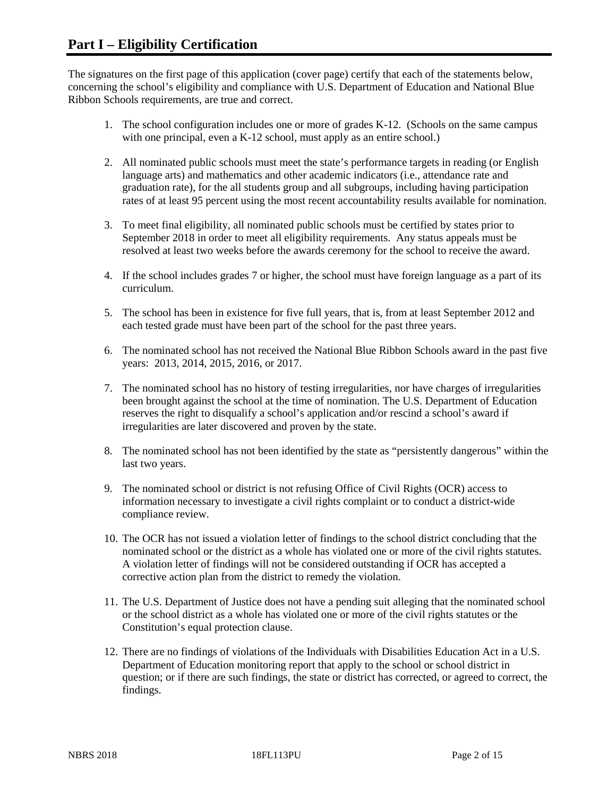The signatures on the first page of this application (cover page) certify that each of the statements below, concerning the school's eligibility and compliance with U.S. Department of Education and National Blue Ribbon Schools requirements, are true and correct.

- 1. The school configuration includes one or more of grades K-12. (Schools on the same campus with one principal, even a K-12 school, must apply as an entire school.)
- 2. All nominated public schools must meet the state's performance targets in reading (or English language arts) and mathematics and other academic indicators (i.e., attendance rate and graduation rate), for the all students group and all subgroups, including having participation rates of at least 95 percent using the most recent accountability results available for nomination.
- 3. To meet final eligibility, all nominated public schools must be certified by states prior to September 2018 in order to meet all eligibility requirements. Any status appeals must be resolved at least two weeks before the awards ceremony for the school to receive the award.
- 4. If the school includes grades 7 or higher, the school must have foreign language as a part of its curriculum.
- 5. The school has been in existence for five full years, that is, from at least September 2012 and each tested grade must have been part of the school for the past three years.
- 6. The nominated school has not received the National Blue Ribbon Schools award in the past five years: 2013, 2014, 2015, 2016, or 2017.
- 7. The nominated school has no history of testing irregularities, nor have charges of irregularities been brought against the school at the time of nomination. The U.S. Department of Education reserves the right to disqualify a school's application and/or rescind a school's award if irregularities are later discovered and proven by the state.
- 8. The nominated school has not been identified by the state as "persistently dangerous" within the last two years.
- 9. The nominated school or district is not refusing Office of Civil Rights (OCR) access to information necessary to investigate a civil rights complaint or to conduct a district-wide compliance review.
- 10. The OCR has not issued a violation letter of findings to the school district concluding that the nominated school or the district as a whole has violated one or more of the civil rights statutes. A violation letter of findings will not be considered outstanding if OCR has accepted a corrective action plan from the district to remedy the violation.
- 11. The U.S. Department of Justice does not have a pending suit alleging that the nominated school or the school district as a whole has violated one or more of the civil rights statutes or the Constitution's equal protection clause.
- 12. There are no findings of violations of the Individuals with Disabilities Education Act in a U.S. Department of Education monitoring report that apply to the school or school district in question; or if there are such findings, the state or district has corrected, or agreed to correct, the findings.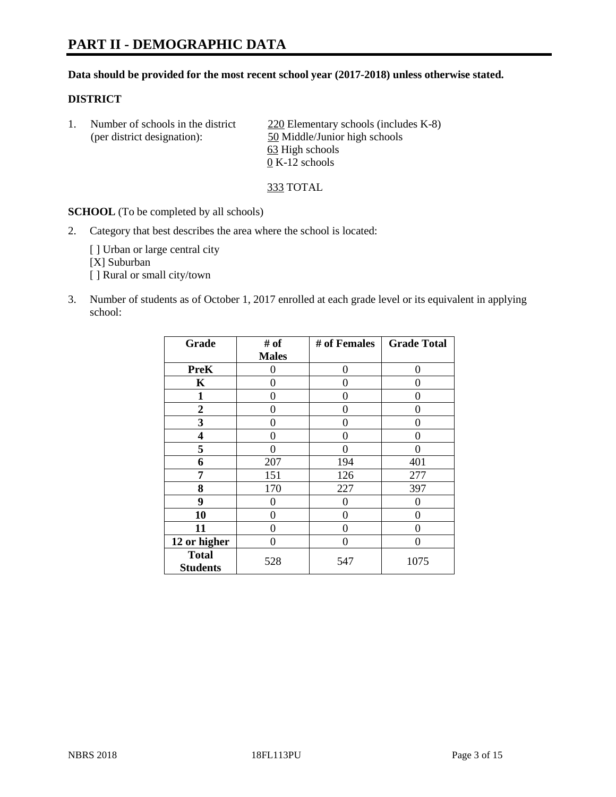#### **Data should be provided for the most recent school year (2017-2018) unless otherwise stated.**

#### **DISTRICT**

1. Number of schools in the district  $\frac{220}{220}$  Elementary schools (includes K-8) (per district designation): 50 Middle/Junior high schools 63 High schools 0 K-12 schools

333 TOTAL

**SCHOOL** (To be completed by all schools)

2. Category that best describes the area where the school is located:

[] Urban or large central city [X] Suburban [] Rural or small city/town

3. Number of students as of October 1, 2017 enrolled at each grade level or its equivalent in applying school:

| Grade                           | # of         | # of Females | <b>Grade Total</b> |
|---------------------------------|--------------|--------------|--------------------|
|                                 | <b>Males</b> |              |                    |
| <b>PreK</b>                     | 0            | $\Omega$     | 0                  |
| K                               | 0            | 0            | 0                  |
| 1                               | 0            | 0            | 0                  |
| 2                               | 0            | 0            | 0                  |
| 3                               | 0            | 0            | 0                  |
| 4                               | 0            | 0            | 0                  |
| 5                               | 0            | 0            |                    |
| 6                               | 207          | 194          | 401                |
| 7                               | 151          | 126          | 277                |
| 8                               | 170          | 227          | 397                |
| 9                               | 0            | 0            | 0                  |
| 10                              | 0            | 0            | 0                  |
| 11                              | 0            | 0            | 0                  |
| 12 or higher                    | 0            | 0            | 0                  |
| <b>Total</b><br><b>Students</b> | 528          | 547          | 1075               |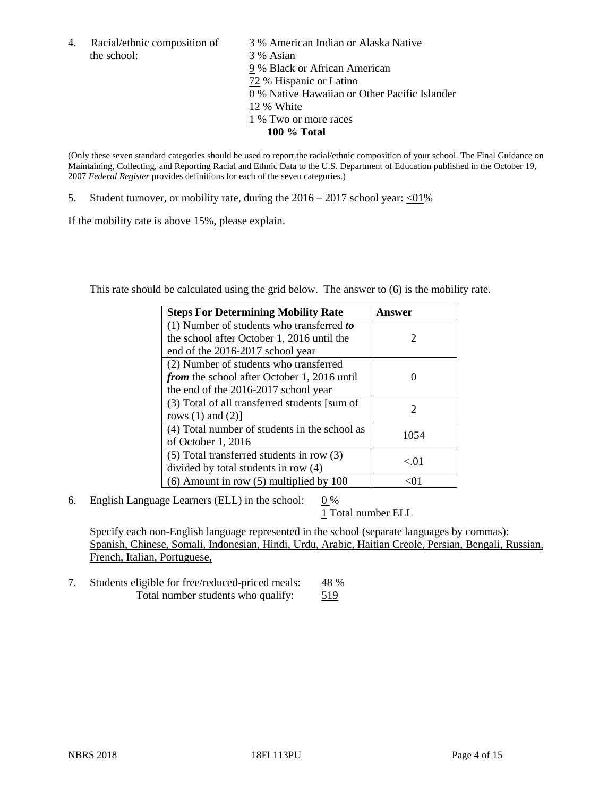the school: 3 % Asian

4. Racial/ethnic composition of  $\frac{3}{9}$ % American Indian or Alaska Native 9 % Black or African American 72 % Hispanic or Latino 0 % Native Hawaiian or Other Pacific Islander 12 % White 1 % Two or more races **100 % Total**

(Only these seven standard categories should be used to report the racial/ethnic composition of your school. The Final Guidance on Maintaining, Collecting, and Reporting Racial and Ethnic Data to the U.S. Department of Education published in the October 19, 2007 *Federal Register* provides definitions for each of the seven categories.)

5. Student turnover, or mobility rate, during the  $2016 - 2017$  school year: <01%

If the mobility rate is above 15%, please explain.

This rate should be calculated using the grid below. The answer to (6) is the mobility rate.

| <b>Steps For Determining Mobility Rate</b>         | Answer                      |
|----------------------------------------------------|-----------------------------|
| (1) Number of students who transferred to          |                             |
| the school after October 1, 2016 until the         | $\mathcal{D}_{\mathcal{L}}$ |
| end of the 2016-2017 school year                   |                             |
| (2) Number of students who transferred             |                             |
| <i>from</i> the school after October 1, 2016 until |                             |
| the end of the 2016-2017 school year               |                             |
| (3) Total of all transferred students [sum of      | 2                           |
| rows $(1)$ and $(2)$ ]                             |                             |
| (4) Total number of students in the school as      | 1054                        |
| of October 1, 2016                                 |                             |
| (5) Total transferred students in row (3)          | < 01                        |
| divided by total students in row (4)               |                             |
| $(6)$ Amount in row $(5)$ multiplied by 100        |                             |

6. English Language Learners (ELL) in the school:  $0\%$ 

1 Total number ELL

Specify each non-English language represented in the school (separate languages by commas): Spanish, Chinese, Somali, Indonesian, Hindi, Urdu, Arabic, Haitian Creole, Persian, Bengali, Russian, French, Italian, Portuguese,

7. Students eligible for free/reduced-priced meals: 48 % Total number students who qualify: 519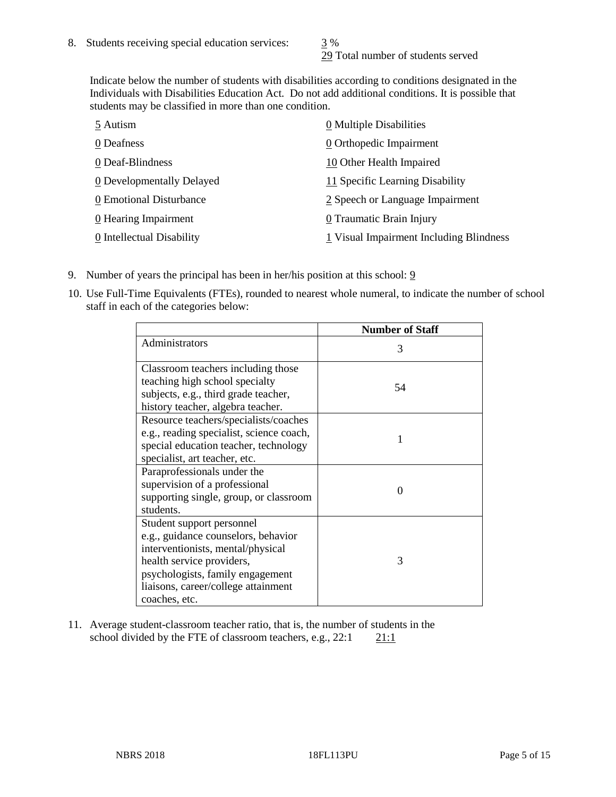29 Total number of students served

Indicate below the number of students with disabilities according to conditions designated in the Individuals with Disabilities Education Act. Do not add additional conditions. It is possible that students may be classified in more than one condition.

| 5 Autism                  | 0 Multiple Disabilities                 |
|---------------------------|-----------------------------------------|
| 0 Deafness                | 0 Orthopedic Impairment                 |
| 0 Deaf-Blindness          | 10 Other Health Impaired                |
| 0 Developmentally Delayed | 11 Specific Learning Disability         |
| 0 Emotional Disturbance   | 2 Speech or Language Impairment         |
| 0 Hearing Impairment      | 0 Traumatic Brain Injury                |
| 0 Intellectual Disability | 1 Visual Impairment Including Blindness |

- 9. Number of years the principal has been in her/his position at this school:  $9$
- 10. Use Full-Time Equivalents (FTEs), rounded to nearest whole numeral, to indicate the number of school staff in each of the categories below:

|                                                                                                                                                                                                                                | <b>Number of Staff</b> |
|--------------------------------------------------------------------------------------------------------------------------------------------------------------------------------------------------------------------------------|------------------------|
| Administrators                                                                                                                                                                                                                 | 3                      |
| Classroom teachers including those<br>teaching high school specialty<br>subjects, e.g., third grade teacher,<br>history teacher, algebra teacher.                                                                              | 54                     |
| Resource teachers/specialists/coaches<br>e.g., reading specialist, science coach,<br>special education teacher, technology<br>specialist, art teacher, etc.                                                                    |                        |
| Paraprofessionals under the<br>supervision of a professional<br>supporting single, group, or classroom<br>students.                                                                                                            | $\Omega$               |
| Student support personnel<br>e.g., guidance counselors, behavior<br>interventionists, mental/physical<br>health service providers,<br>psychologists, family engagement<br>liaisons, career/college attainment<br>coaches, etc. | 3                      |

11. Average student-classroom teacher ratio, that is, the number of students in the school divided by the FTE of classroom teachers, e.g.,  $22:1$  21:1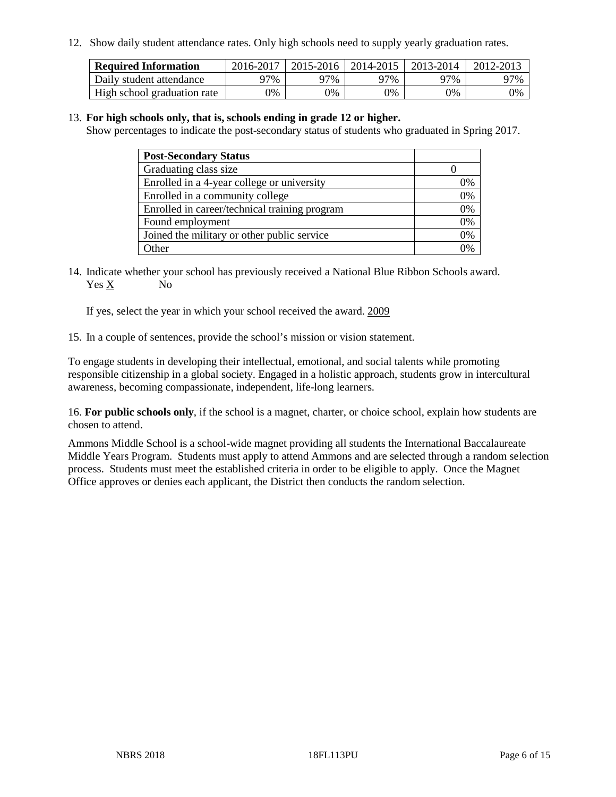12. Show daily student attendance rates. Only high schools need to supply yearly graduation rates.

| <b>Required Information</b> | 2016-2017 | $2015 - 2016$ | 2014-2015 | 2013-2014 | 2012-2013 |
|-----------------------------|-----------|---------------|-----------|-----------|-----------|
| Daily student attendance    | 97%       | 97%           | 97%       | 77%       | 97%       |
| High school graduation rate | 0%        | 0%            | 0%        | 9%        | 9%        |

#### 13. **For high schools only, that is, schools ending in grade 12 or higher.**

Show percentages to indicate the post-secondary status of students who graduated in Spring 2017.

| <b>Post-Secondary Status</b>                  |    |
|-----------------------------------------------|----|
| Graduating class size                         |    |
| Enrolled in a 4-year college or university    | 0% |
| Enrolled in a community college               | 0% |
| Enrolled in career/technical training program | 0% |
| Found employment                              | 0% |
| Joined the military or other public service   | 0% |
| Other                                         | ገ% |

14. Indicate whether your school has previously received a National Blue Ribbon Schools award. Yes X No

If yes, select the year in which your school received the award. 2009

15. In a couple of sentences, provide the school's mission or vision statement.

To engage students in developing their intellectual, emotional, and social talents while promoting responsible citizenship in a global society. Engaged in a holistic approach, students grow in intercultural awareness, becoming compassionate, independent, life-long learners.

16. **For public schools only**, if the school is a magnet, charter, or choice school, explain how students are chosen to attend.

Ammons Middle School is a school-wide magnet providing all students the International Baccalaureate Middle Years Program. Students must apply to attend Ammons and are selected through a random selection process. Students must meet the established criteria in order to be eligible to apply. Once the Magnet Office approves or denies each applicant, the District then conducts the random selection.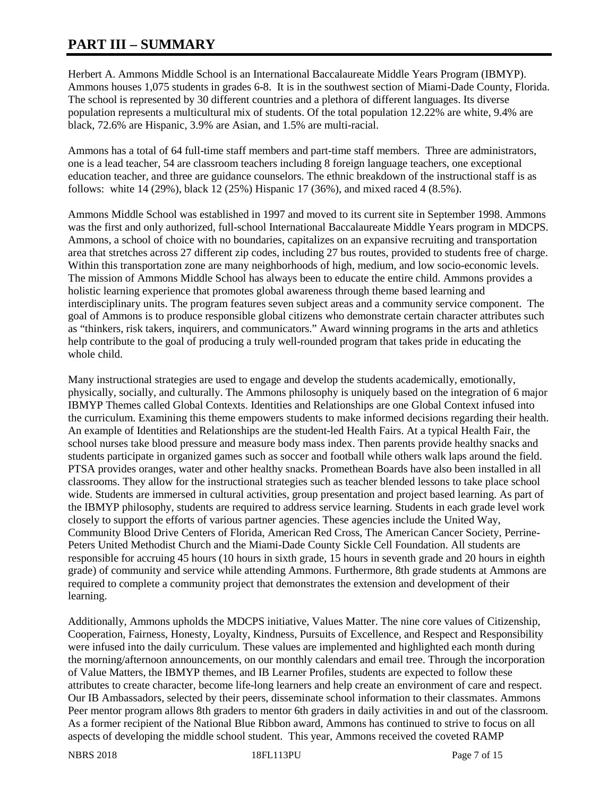# **PART III – SUMMARY**

Herbert A. Ammons Middle School is an International Baccalaureate Middle Years Program (IBMYP). Ammons houses 1,075 students in grades 6-8. It is in the southwest section of Miami-Dade County, Florida. The school is represented by 30 different countries and a plethora of different languages. Its diverse population represents a multicultural mix of students. Of the total population 12.22% are white, 9.4% are black, 72.6% are Hispanic, 3.9% are Asian, and 1.5% are multi-racial.

Ammons has a total of 64 full-time staff members and part-time staff members. Three are administrators, one is a lead teacher, 54 are classroom teachers including 8 foreign language teachers, one exceptional education teacher, and three are guidance counselors. The ethnic breakdown of the instructional staff is as follows: white 14 (29%), black 12 (25%) Hispanic 17 (36%), and mixed raced 4 (8.5%).

Ammons Middle School was established in 1997 and moved to its current site in September 1998. Ammons was the first and only authorized, full-school International Baccalaureate Middle Years program in MDCPS. Ammons, a school of choice with no boundaries, capitalizes on an expansive recruiting and transportation area that stretches across 27 different zip codes, including 27 bus routes, provided to students free of charge. Within this transportation zone are many neighborhoods of high, medium, and low socio-economic levels. The mission of Ammons Middle School has always been to educate the entire child. Ammons provides a holistic learning experience that promotes global awareness through theme based learning and interdisciplinary units. The program features seven subject areas and a community service component. The goal of Ammons is to produce responsible global citizens who demonstrate certain character attributes such as "thinkers, risk takers, inquirers, and communicators." Award winning programs in the arts and athletics help contribute to the goal of producing a truly well-rounded program that takes pride in educating the whole child.

Many instructional strategies are used to engage and develop the students academically, emotionally, physically, socially, and culturally. The Ammons philosophy is uniquely based on the integration of 6 major IBMYP Themes called Global Contexts. Identities and Relationships are one Global Context infused into the curriculum. Examining this theme empowers students to make informed decisions regarding their health. An example of Identities and Relationships are the student-led Health Fairs. At a typical Health Fair, the school nurses take blood pressure and measure body mass index. Then parents provide healthy snacks and students participate in organized games such as soccer and football while others walk laps around the field. PTSA provides oranges, water and other healthy snacks. Promethean Boards have also been installed in all classrooms. They allow for the instructional strategies such as teacher blended lessons to take place school wide. Students are immersed in cultural activities, group presentation and project based learning. As part of the IBMYP philosophy, students are required to address service learning. Students in each grade level work closely to support the efforts of various partner agencies. These agencies include the United Way, Community Blood Drive Centers of Florida, American Red Cross, The American Cancer Society, Perrine-Peters United Methodist Church and the Miami-Dade County Sickle Cell Foundation. All students are responsible for accruing 45 hours (10 hours in sixth grade, 15 hours in seventh grade and 20 hours in eighth grade) of community and service while attending Ammons. Furthermore, 8th grade students at Ammons are required to complete a community project that demonstrates the extension and development of their learning.

Additionally, Ammons upholds the MDCPS initiative, Values Matter. The nine core values of Citizenship, Cooperation, Fairness, Honesty, Loyalty, Kindness, Pursuits of Excellence, and Respect and Responsibility were infused into the daily curriculum. These values are implemented and highlighted each month during the morning/afternoon announcements, on our monthly calendars and email tree. Through the incorporation of Value Matters, the IBMYP themes, and IB Learner Profiles, students are expected to follow these attributes to create character, become life-long learners and help create an environment of care and respect. Our IB Ambassadors, selected by their peers, disseminate school information to their classmates. Ammons Peer mentor program allows 8th graders to mentor 6th graders in daily activities in and out of the classroom. As a former recipient of the National Blue Ribbon award, Ammons has continued to strive to focus on all aspects of developing the middle school student. This year, Ammons received the coveted RAMP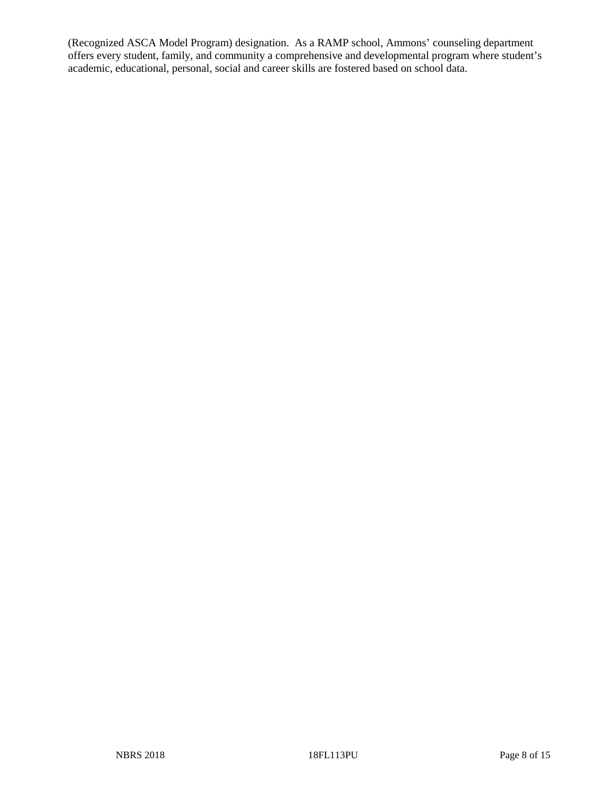(Recognized ASCA Model Program) designation. As a RAMP school, Ammons' counseling department offers every student, family, and community a comprehensive and developmental program where student's academic, educational, personal, social and career skills are fostered based on school data.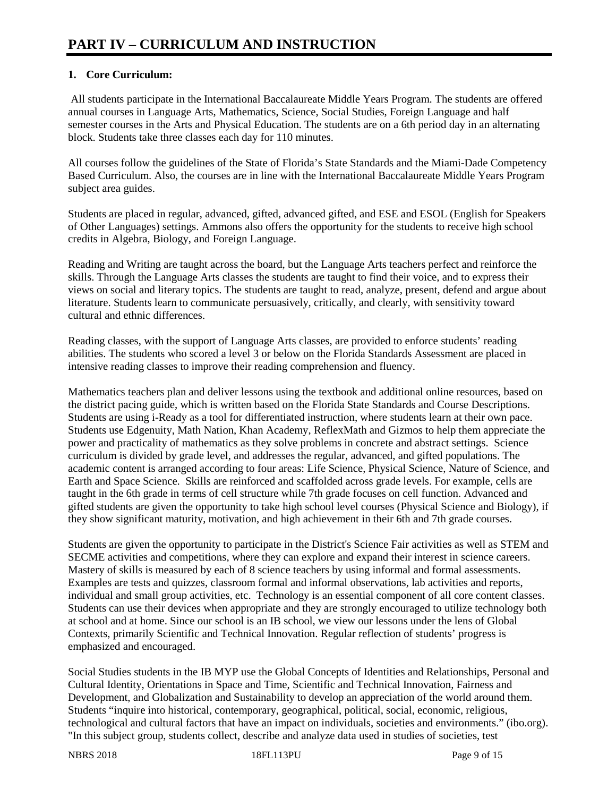## **1. Core Curriculum:**

All students participate in the International Baccalaureate Middle Years Program. The students are offered annual courses in Language Arts, Mathematics, Science, Social Studies, Foreign Language and half semester courses in the Arts and Physical Education. The students are on a 6th period day in an alternating block. Students take three classes each day for 110 minutes.

All courses follow the guidelines of the State of Florida's State Standards and the Miami-Dade Competency Based Curriculum. Also, the courses are in line with the International Baccalaureate Middle Years Program subject area guides.

Students are placed in regular, advanced, gifted, advanced gifted, and ESE and ESOL (English for Speakers of Other Languages) settings. Ammons also offers the opportunity for the students to receive high school credits in Algebra, Biology, and Foreign Language.

Reading and Writing are taught across the board, but the Language Arts teachers perfect and reinforce the skills. Through the Language Arts classes the students are taught to find their voice, and to express their views on social and literary topics. The students are taught to read, analyze, present, defend and argue about literature. Students learn to communicate persuasively, critically, and clearly, with sensitivity toward cultural and ethnic differences.

Reading classes, with the support of Language Arts classes, are provided to enforce students' reading abilities. The students who scored a level 3 or below on the Florida Standards Assessment are placed in intensive reading classes to improve their reading comprehension and fluency.

Mathematics teachers plan and deliver lessons using the textbook and additional online resources, based on the district pacing guide, which is written based on the Florida State Standards and Course Descriptions. Students are using i-Ready as a tool for differentiated instruction, where students learn at their own pace. Students use Edgenuity, Math Nation, Khan Academy, ReflexMath and Gizmos to help them appreciate the power and practicality of mathematics as they solve problems in concrete and abstract settings. Science curriculum is divided by grade level, and addresses the regular, advanced, and gifted populations. The academic content is arranged according to four areas: Life Science, Physical Science, Nature of Science, and Earth and Space Science. Skills are reinforced and scaffolded across grade levels. For example, cells are taught in the 6th grade in terms of cell structure while 7th grade focuses on cell function. Advanced and gifted students are given the opportunity to take high school level courses (Physical Science and Biology), if they show significant maturity, motivation, and high achievement in their 6th and 7th grade courses.

Students are given the opportunity to participate in the District's Science Fair activities as well as STEM and SECME activities and competitions, where they can explore and expand their interest in science careers. Mastery of skills is measured by each of 8 science teachers by using informal and formal assessments. Examples are tests and quizzes, classroom formal and informal observations, lab activities and reports, individual and small group activities, etc. Technology is an essential component of all core content classes. Students can use their devices when appropriate and they are strongly encouraged to utilize technology both at school and at home. Since our school is an IB school, we view our lessons under the lens of Global Contexts, primarily Scientific and Technical Innovation. Regular reflection of students' progress is emphasized and encouraged.

Social Studies students in the IB MYP use the Global Concepts of Identities and Relationships, Personal and Cultural Identity, Orientations in Space and Time, Scientific and Technical Innovation, Fairness and Development, and Globalization and Sustainability to develop an appreciation of the world around them. Students "inquire into historical, contemporary, geographical, political, social, economic, religious, technological and cultural factors that have an impact on individuals, societies and environments." (ibo.org). "In this subject group, students collect, describe and analyze data used in studies of societies, test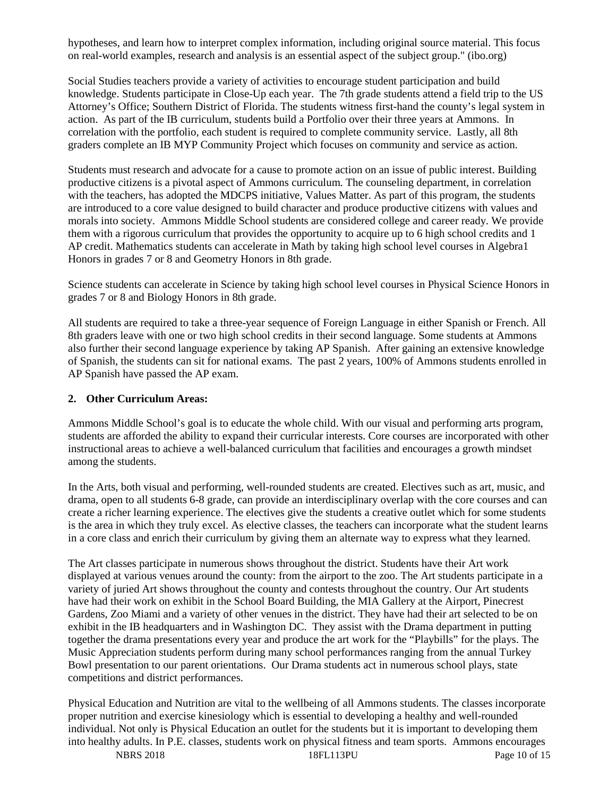hypotheses, and learn how to interpret complex information, including original source material. This focus on real-world examples, research and analysis is an essential aspect of the subject group." (ibo.org)

Social Studies teachers provide a variety of activities to encourage student participation and build knowledge. Students participate in Close-Up each year. The 7th grade students attend a field trip to the US Attorney's Office; Southern District of Florida. The students witness first-hand the county's legal system in action. As part of the IB curriculum, students build a Portfolio over their three years at Ammons. In correlation with the portfolio, each student is required to complete community service. Lastly, all 8th graders complete an IB MYP Community Project which focuses on community and service as action.

Students must research and advocate for a cause to promote action on an issue of public interest. Building productive citizens is a pivotal aspect of Ammons curriculum. The counseling department, in correlation with the teachers, has adopted the MDCPS initiative, Values Matter. As part of this program, the students are introduced to a core value designed to build character and produce productive citizens with values and morals into society. Ammons Middle School students are considered college and career ready. We provide them with a rigorous curriculum that provides the opportunity to acquire up to 6 high school credits and 1 AP credit. Mathematics students can accelerate in Math by taking high school level courses in Algebra1 Honors in grades 7 or 8 and Geometry Honors in 8th grade.

Science students can accelerate in Science by taking high school level courses in Physical Science Honors in grades 7 or 8 and Biology Honors in 8th grade.

All students are required to take a three-year sequence of Foreign Language in either Spanish or French. All 8th graders leave with one or two high school credits in their second language. Some students at Ammons also further their second language experience by taking AP Spanish. After gaining an extensive knowledge of Spanish, the students can sit for national exams. The past 2 years, 100% of Ammons students enrolled in AP Spanish have passed the AP exam.

#### **2. Other Curriculum Areas:**

Ammons Middle School's goal is to educate the whole child. With our visual and performing arts program, students are afforded the ability to expand their curricular interests. Core courses are incorporated with other instructional areas to achieve a well-balanced curriculum that facilities and encourages a growth mindset among the students.

In the Arts, both visual and performing, well-rounded students are created. Electives such as art, music, and drama, open to all students 6-8 grade, can provide an interdisciplinary overlap with the core courses and can create a richer learning experience. The electives give the students a creative outlet which for some students is the area in which they truly excel. As elective classes, the teachers can incorporate what the student learns in a core class and enrich their curriculum by giving them an alternate way to express what they learned.

The Art classes participate in numerous shows throughout the district. Students have their Art work displayed at various venues around the county: from the airport to the zoo. The Art students participate in a variety of juried Art shows throughout the county and contests throughout the country. Our Art students have had their work on exhibit in the School Board Building, the MIA Gallery at the Airport, Pinecrest Gardens, Zoo Miami and a variety of other venues in the district. They have had their art selected to be on exhibit in the IB headquarters and in Washington DC. They assist with the Drama department in putting together the drama presentations every year and produce the art work for the "Playbills" for the plays. The Music Appreciation students perform during many school performances ranging from the annual Turkey Bowl presentation to our parent orientations. Our Drama students act in numerous school plays, state competitions and district performances.

Physical Education and Nutrition are vital to the wellbeing of all Ammons students. The classes incorporate proper nutrition and exercise kinesiology which is essential to developing a healthy and well-rounded individual. Not only is Physical Education an outlet for the students but it is important to developing them into healthy adults. In P.E. classes, students work on physical fitness and team sports. Ammons encourages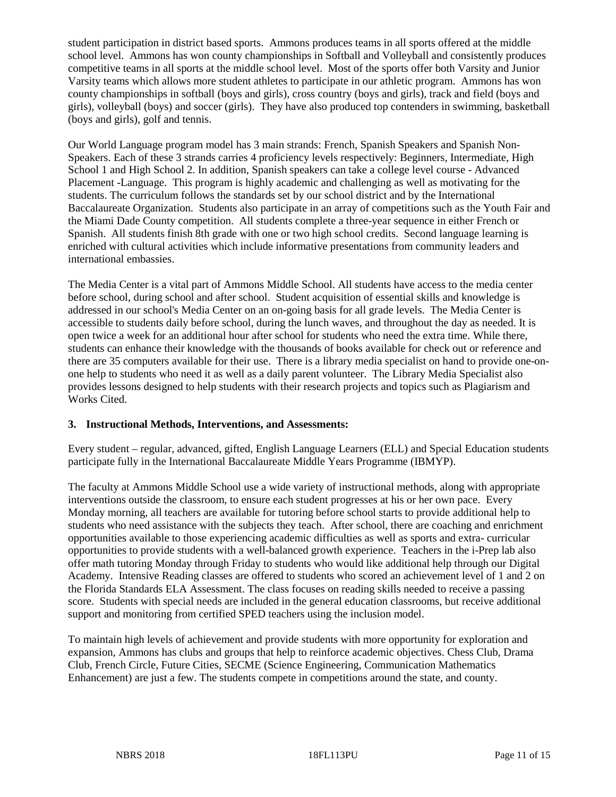student participation in district based sports. Ammons produces teams in all sports offered at the middle school level. Ammons has won county championships in Softball and Volleyball and consistently produces competitive teams in all sports at the middle school level. Most of the sports offer both Varsity and Junior Varsity teams which allows more student athletes to participate in our athletic program. Ammons has won county championships in softball (boys and girls), cross country (boys and girls), track and field (boys and girls), volleyball (boys) and soccer (girls). They have also produced top contenders in swimming, basketball (boys and girls), golf and tennis.

Our World Language program model has 3 main strands: French, Spanish Speakers and Spanish Non-Speakers. Each of these 3 strands carries 4 proficiency levels respectively: Beginners, Intermediate, High School 1 and High School 2. In addition, Spanish speakers can take a college level course - Advanced Placement -Language. This program is highly academic and challenging as well as motivating for the students. The curriculum follows the standards set by our school district and by the International Baccalaureate Organization. Students also participate in an array of competitions such as the Youth Fair and the Miami Dade County competition. All students complete a three-year sequence in either French or Spanish. All students finish 8th grade with one or two high school credits. Second language learning is enriched with cultural activities which include informative presentations from community leaders and international embassies.

The Media Center is a vital part of Ammons Middle School. All students have access to the media center before school, during school and after school. Student acquisition of essential skills and knowledge is addressed in our school's Media Center on an on-going basis for all grade levels. The Media Center is accessible to students daily before school, during the lunch waves, and throughout the day as needed. It is open twice a week for an additional hour after school for students who need the extra time. While there, students can enhance their knowledge with the thousands of books available for check out or reference and there are 35 computers available for their use. There is a library media specialist on hand to provide one-onone help to students who need it as well as a daily parent volunteer. The Library Media Specialist also provides lessons designed to help students with their research projects and topics such as Plagiarism and Works Cited.

#### **3. Instructional Methods, Interventions, and Assessments:**

Every student – regular, advanced, gifted, English Language Learners (ELL) and Special Education students participate fully in the International Baccalaureate Middle Years Programme (IBMYP).

The faculty at Ammons Middle School use a wide variety of instructional methods, along with appropriate interventions outside the classroom, to ensure each student progresses at his or her own pace. Every Monday morning, all teachers are available for tutoring before school starts to provide additional help to students who need assistance with the subjects they teach. After school, there are coaching and enrichment opportunities available to those experiencing academic difficulties as well as sports and extra- curricular opportunities to provide students with a well-balanced growth experience. Teachers in the i-Prep lab also offer math tutoring Monday through Friday to students who would like additional help through our Digital Academy. Intensive Reading classes are offered to students who scored an achievement level of 1 and 2 on the Florida Standards ELA Assessment. The class focuses on reading skills needed to receive a passing score. Students with special needs are included in the general education classrooms, but receive additional support and monitoring from certified SPED teachers using the inclusion model.

To maintain high levels of achievement and provide students with more opportunity for exploration and expansion, Ammons has clubs and groups that help to reinforce academic objectives. Chess Club, Drama Club, French Circle, Future Cities, SECME (Science Engineering, Communication Mathematics Enhancement) are just a few. The students compete in competitions around the state, and county.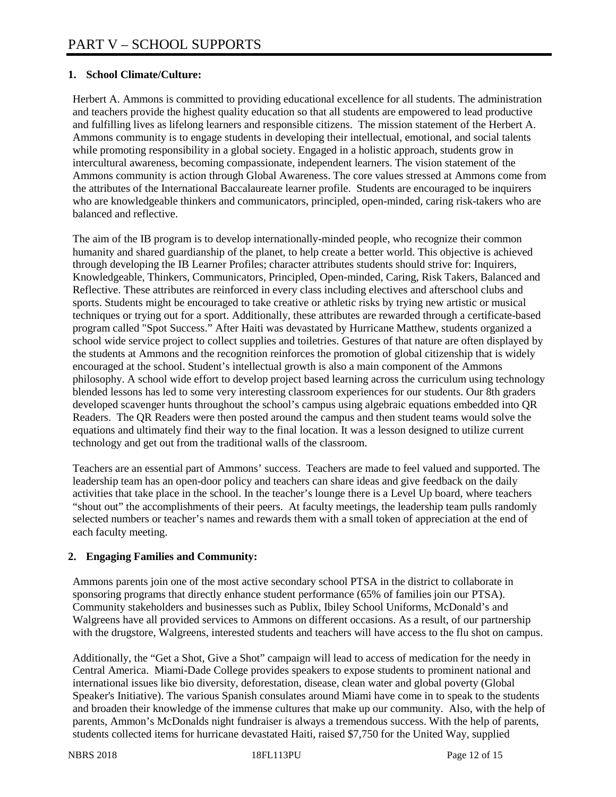## **1. School Climate/Culture:**

Herbert A. Ammons is committed to providing educational excellence for all students. The administration and teachers provide the highest quality education so that all students are empowered to lead productive and fulfilling lives as lifelong learners and responsible citizens. The mission statement of the Herbert A. Ammons community is to engage students in developing their intellectual, emotional, and social talents while promoting responsibility in a global society. Engaged in a holistic approach, students grow in intercultural awareness, becoming compassionate, independent learners. The vision statement of the Ammons community is action through Global Awareness. The core values stressed at Ammons come from the attributes of the International Baccalaureate learner profile. Students are encouraged to be inquirers who are knowledgeable thinkers and communicators, principled, open-minded, caring risk-takers who are balanced and reflective.

The aim of the IB program is to develop internationally-minded people, who recognize their common humanity and shared guardianship of the planet, to help create a better world. This objective is achieved through developing the IB Learner Profiles; character attributes students should strive for: Inquirers, Knowledgeable, Thinkers, Communicators, Principled, Open-minded, Caring, Risk Takers, Balanced and Reflective. These attributes are reinforced in every class including electives and afterschool clubs and sports. Students might be encouraged to take creative or athletic risks by trying new artistic or musical techniques or trying out for a sport. Additionally, these attributes are rewarded through a certificate-based program called "Spot Success." After Haiti was devastated by Hurricane Matthew, students organized a school wide service project to collect supplies and toiletries. Gestures of that nature are often displayed by the students at Ammons and the recognition reinforces the promotion of global citizenship that is widely encouraged at the school. Student's intellectual growth is also a main component of the Ammons philosophy. A school wide effort to develop project based learning across the curriculum using technology blended lessons has led to some very interesting classroom experiences for our students. Our 8th graders developed scavenger hunts throughout the school's campus using algebraic equations embedded into QR Readers. The QR Readers were then posted around the campus and then student teams would solve the equations and ultimately find their way to the final location. It was a lesson designed to utilize current technology and get out from the traditional walls of the classroom.

Teachers are an essential part of Ammons' success. Teachers are made to feel valued and supported. The leadership team has an open-door policy and teachers can share ideas and give feedback on the daily activities that take place in the school. In the teacher's lounge there is a Level Up board, where teachers "shout out" the accomplishments of their peers. At faculty meetings, the leadership team pulls randomly selected numbers or teacher's names and rewards them with a small token of appreciation at the end of each faculty meeting.

## **2. Engaging Families and Community:**

Ammons parents join one of the most active secondary school PTSA in the district to collaborate in sponsoring programs that directly enhance student performance (65% of families join our PTSA). Community stakeholders and businesses such as Publix, Ibiley School Uniforms, McDonald's and Walgreens have all provided services to Ammons on different occasions. As a result, of our partnership with the drugstore, Walgreens, interested students and teachers will have access to the flu shot on campus.

Additionally, the "Get a Shot, Give a Shot" campaign will lead to access of medication for the needy in Central America. Miami-Dade College provides speakers to expose students to prominent national and international issues like bio diversity, deforestation, disease, clean water and global poverty (Global Speaker's Initiative). The various Spanish consulates around Miami have come in to speak to the students and broaden their knowledge of the immense cultures that make up our community. Also, with the help of parents, Ammon's McDonalds night fundraiser is always a tremendous success. With the help of parents, students collected items for hurricane devastated Haiti, raised \$7,750 for the United Way, supplied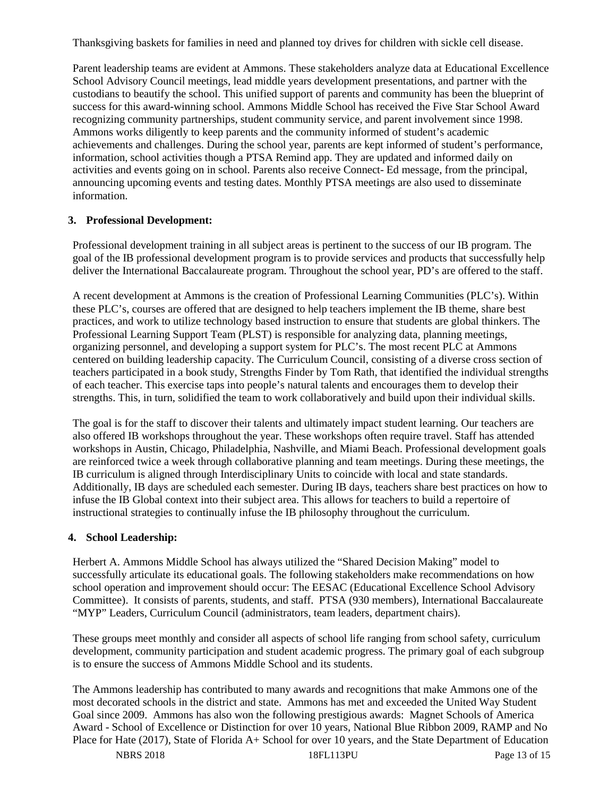Thanksgiving baskets for families in need and planned toy drives for children with sickle cell disease.

Parent leadership teams are evident at Ammons. These stakeholders analyze data at Educational Excellence School Advisory Council meetings, lead middle years development presentations, and partner with the custodians to beautify the school. This unified support of parents and community has been the blueprint of success for this award-winning school. Ammons Middle School has received the Five Star School Award recognizing community partnerships, student community service, and parent involvement since 1998. Ammons works diligently to keep parents and the community informed of student's academic achievements and challenges. During the school year, parents are kept informed of student's performance, information, school activities though a PTSA Remind app. They are updated and informed daily on activities and events going on in school. Parents also receive Connect- Ed message, from the principal, announcing upcoming events and testing dates. Monthly PTSA meetings are also used to disseminate information.

#### **3. Professional Development:**

Professional development training in all subject areas is pertinent to the success of our IB program. The goal of the IB professional development program is to provide services and products that successfully help deliver the International Baccalaureate program. Throughout the school year, PD's are offered to the staff.

A recent development at Ammons is the creation of Professional Learning Communities (PLC's). Within these PLC's, courses are offered that are designed to help teachers implement the IB theme, share best practices, and work to utilize technology based instruction to ensure that students are global thinkers. The Professional Learning Support Team (PLST) is responsible for analyzing data, planning meetings, organizing personnel, and developing a support system for PLC's. The most recent PLC at Ammons centered on building leadership capacity. The Curriculum Council, consisting of a diverse cross section of teachers participated in a book study, Strengths Finder by Tom Rath, that identified the individual strengths of each teacher. This exercise taps into people's natural talents and encourages them to develop their strengths. This, in turn, solidified the team to work collaboratively and build upon their individual skills.

The goal is for the staff to discover their talents and ultimately impact student learning. Our teachers are also offered IB workshops throughout the year. These workshops often require travel. Staff has attended workshops in Austin, Chicago, Philadelphia, Nashville, and Miami Beach. Professional development goals are reinforced twice a week through collaborative planning and team meetings. During these meetings, the IB curriculum is aligned through Interdisciplinary Units to coincide with local and state standards. Additionally, IB days are scheduled each semester. During IB days, teachers share best practices on how to infuse the IB Global context into their subject area. This allows for teachers to build a repertoire of instructional strategies to continually infuse the IB philosophy throughout the curriculum.

#### **4. School Leadership:**

Herbert A. Ammons Middle School has always utilized the "Shared Decision Making" model to successfully articulate its educational goals. The following stakeholders make recommendations on how school operation and improvement should occur: The EESAC (Educational Excellence School Advisory Committee). It consists of parents, students, and staff. PTSA (930 members), International Baccalaureate "MYP" Leaders, Curriculum Council (administrators, team leaders, department chairs).

These groups meet monthly and consider all aspects of school life ranging from school safety, curriculum development, community participation and student academic progress. The primary goal of each subgroup is to ensure the success of Ammons Middle School and its students.

The Ammons leadership has contributed to many awards and recognitions that make Ammons one of the most decorated schools in the district and state. Ammons has met and exceeded the United Way Student Goal since 2009. Ammons has also won the following prestigious awards: Magnet Schools of America Award - School of Excellence or Distinction for over 10 years, National Blue Ribbon 2009, RAMP and No Place for Hate (2017), State of Florida A+ School for over 10 years, and the State Department of Education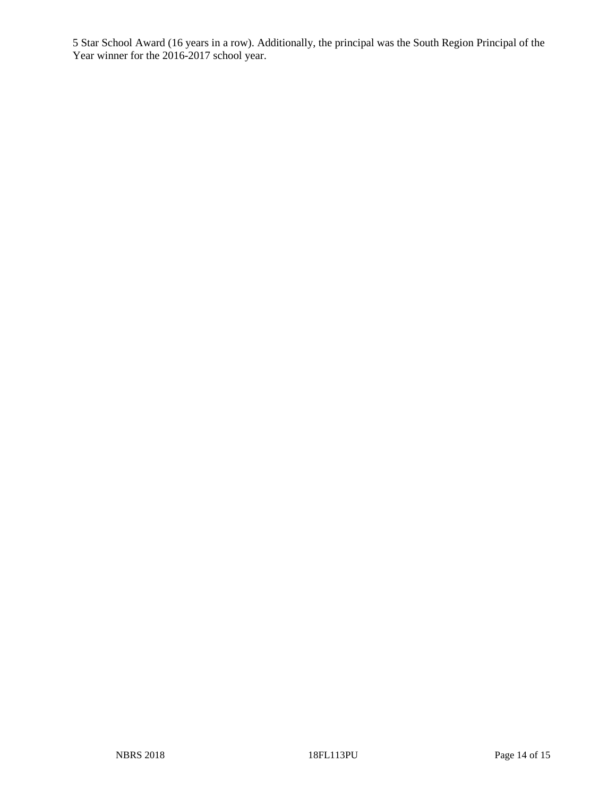5 Star School Award (16 years in a row). Additionally, the principal was the South Region Principal of the Year winner for the 2016-2017 school year.